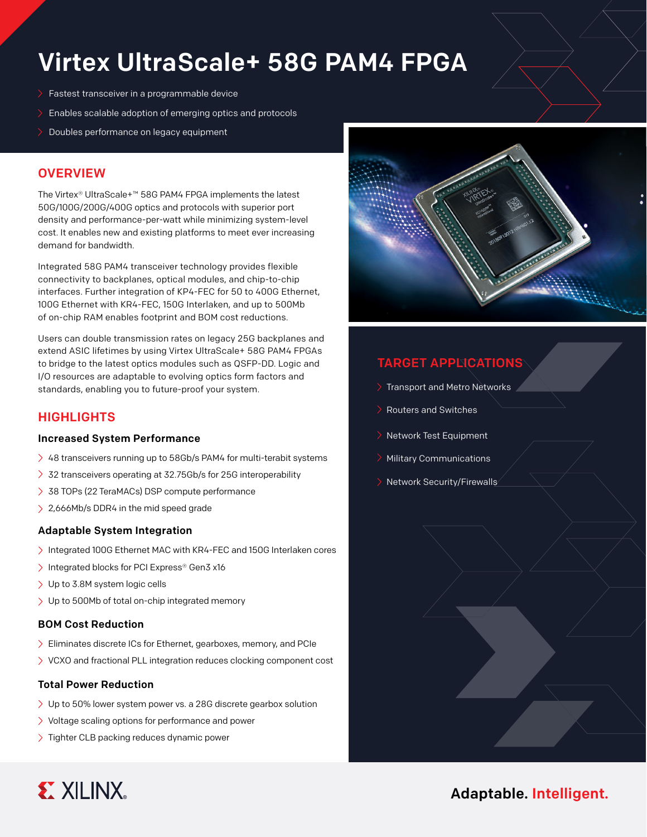# Virtex UltraScale+ 58G PAM4 FPGA

- Fastest transceiver in a programmable device
- Enables scalable adoption of emerging optics and protocols
- Doubles performance on legacy equipment

# **OVERVIEW**

The Virtex® UltraScale+™ 58G PAM4 FPGA implements the latest 50G/100G/200G/400G optics and protocols with superior port density and performance-per-watt while minimizing system-level cost. It enables new and existing platforms to meet ever increasing demand for bandwidth.

Integrated 58G PAM4 transceiver technology provides flexible connectivity to backplanes, optical modules, and chip-to-chip interfaces. Further integration of KP4-FEC for 50 to 400G Ethernet, 100G Ethernet with KR4-FEC, 150G Interlaken, and up to 500Mb of on-chip RAM enables footprint and BOM cost reductions.

Users can double transmission rates on legacy 25G backplanes and extend ASIC lifetimes by using Virtex UltraScale+ 58G PAM4 FPGAs to bridge to the latest optics modules such as QSFP-DD. Logic and I/O resources are adaptable to evolving optics form factors and standards, enabling you to future-proof your system.

## **HIGHLIGHTS**

### Increased System Performance

- $\geq$  48 transceivers running up to 58Gb/s PAM4 for multi-terabit systems
- > 32 transceivers operating at 32.75Gb/s for 25G interoperability
- > 38 TOPs (22 TeraMACs) DSP compute performance
- > 2,666Mb/s DDR4 in the mid speed grade

### Adaptable System Integration

- > Integrated 100G Ethernet MAC with KR4-FEC and 150G Interlaken cores
- > Integrated blocks for PCI Express® Gen3 x16
- > Up to 3.8M system logic cells
- Up to 500Mb of total on-chip integrated memory

### BOM Cost Reduction

- Eliminates discrete ICs for Ethernet, gearboxes, memory, and PCIe
- > VCXO and fractional PLL integration reduces clocking component cost

### Total Power Reduction

- Up to 50% lower system power vs. a 28G discrete gearbox solution
- $\geq$  Voltage scaling options for performance and power
- > Tighter CLB packing reduces dynamic power



# TARGET APPLICATIONS

- Transport and Metro Networks
- Routers and Switches
- Network Test Equipment
- Military Communications
- Network Security/Firewalls



# Adaptable. Intelligent.